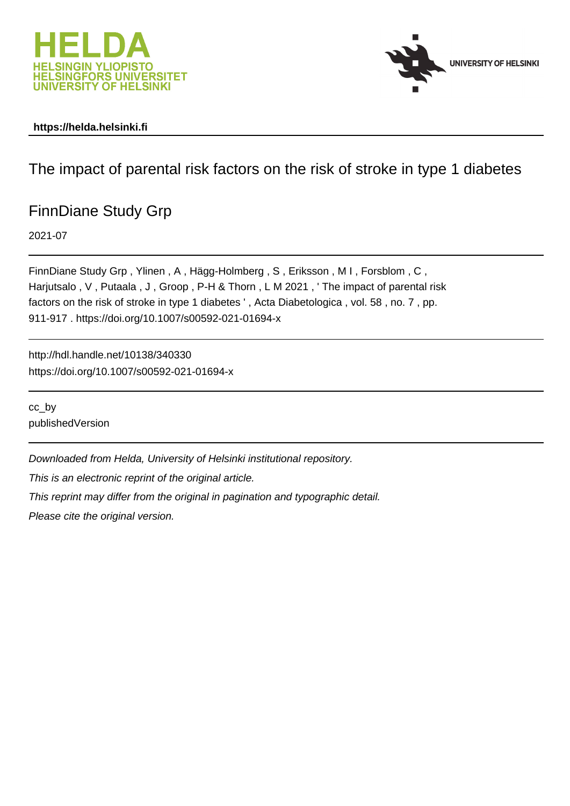



## **https://helda.helsinki.fi**

## The impact of parental risk factors on the risk of stroke in type 1 diabetes

# FinnDiane Study Grp

2021-07

FinnDiane Study Grp , Ylinen , A , Hägg-Holmberg , S , Eriksson , M I , Forsblom , C , Harjutsalo, V, Putaala, J, Groop, P-H & Thorn, L M 2021, 'The impact of parental risk factors on the risk of stroke in type 1 diabetes ' , Acta Diabetologica , vol. 58 , no. 7 , pp. 911-917 . https://doi.org/10.1007/s00592-021-01694-x

http://hdl.handle.net/10138/340330 https://doi.org/10.1007/s00592-021-01694-x

cc\_by publishedVersion

Downloaded from Helda, University of Helsinki institutional repository.

This is an electronic reprint of the original article.

This reprint may differ from the original in pagination and typographic detail.

Please cite the original version.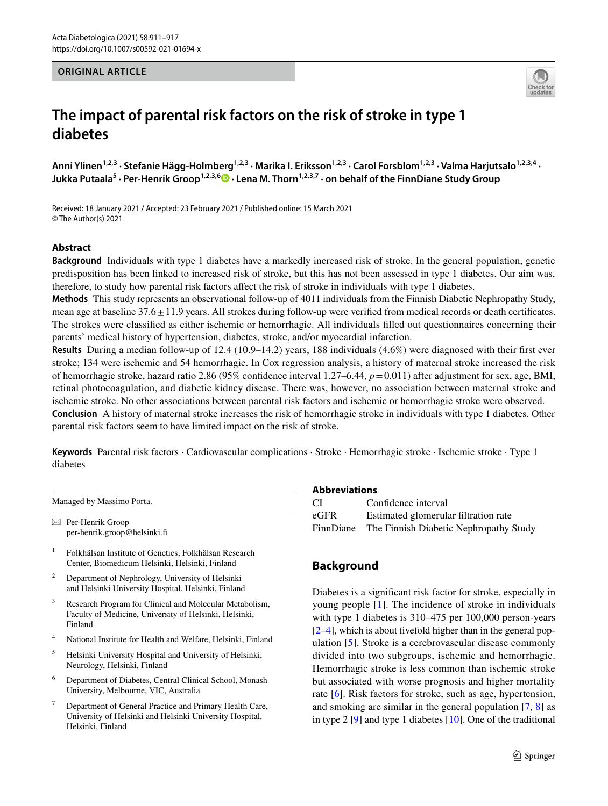#### **ORIGINAL ARTICLE**



## **The impact of parental risk factors on the risk of stroke in type 1 diabetes**

Anni Ylinen<sup>1,2,3</sup> · Stefanie Hägg-Holmberg<sup>1,2,3</sup> · Marika I. Eriksson<sup>1,2,3</sup> · Carol Forsblom<sup>1,2,3</sup> · Valma Harjutsalo<sup>1,2,3,4</sup> · **Jukka Putaala<sup>5</sup> · Per‑Henrik Groop1,2,3,6 · Lena M. Thorn1,2,3,7 · on behalf of the FinnDiane Study Group**

Received: 18 January 2021 / Accepted: 23 February 2021 / Published online: 15 March 2021 © The Author(s) 2021

#### **Abstract**

**Background** Individuals with type 1 diabetes have a markedly increased risk of stroke. In the general population, genetic predisposition has been linked to increased risk of stroke, but this has not been assessed in type 1 diabetes. Our aim was, therefore, to study how parental risk factors afect the risk of stroke in individuals with type 1 diabetes.

**Methods** This study represents an observational follow-up of 4011 individuals from the Finnish Diabetic Nephropathy Study, mean age at baseline  $37.6 \pm 11.9$  years. All strokes during follow-up were verified from medical records or death certificates. The strokes were classifed as either ischemic or hemorrhagic. All individuals flled out questionnaires concerning their parents' medical history of hypertension, diabetes, stroke, and/or myocardial infarction.

**Results** During a median follow-up of 12.4 (10.9–14.2) years, 188 individuals (4.6%) were diagnosed with their frst ever stroke; 134 were ischemic and 54 hemorrhagic. In Cox regression analysis, a history of maternal stroke increased the risk of hemorrhagic stroke, hazard ratio 2.86 (95% confdence interval 1.27–6.44, *p*=0.011) after adjustment for sex, age, BMI, retinal photocoagulation, and diabetic kidney disease. There was, however, no association between maternal stroke and ischemic stroke. No other associations between parental risk factors and ischemic or hemorrhagic stroke were observed. **Conclusion** A history of maternal stroke increases the risk of hemorrhagic stroke in individuals with type 1 diabetes. Other parental risk factors seem to have limited impact on the risk of stroke.

**Keywords** Parental risk factors · Cardiovascular complications · Stroke · Hemorrhagic stroke · Ischemic stroke · Type 1 diabetes

Managed by Massimo Porta.  $\boxtimes$  Per-Henrik Groop per-henrik.groop@helsinki.f

<sup>1</sup> Folkhälsan Institute of Genetics, Folkhälsan Research Center, Biomedicum Helsinki, Helsinki, Finland

<sup>2</sup> Department of Nephrology, University of Helsinki and Helsinki University Hospital, Helsinki, Finland

<sup>3</sup> Research Program for Clinical and Molecular Metabolism, Faculty of Medicine, University of Helsinki, Helsinki, Finland

- <sup>4</sup> National Institute for Health and Welfare, Helsinki, Finland
- <sup>5</sup> Helsinki University Hospital and University of Helsinki, Neurology, Helsinki, Finland
- <sup>6</sup> Department of Diabetes, Central Clinical School, Monash University, Melbourne, VIC, Australia
- Department of General Practice and Primary Health Care, University of Helsinki and Helsinki University Hospital, Helsinki, Finland

#### **Abbreviations**

| CI   | Confidence interval                              |
|------|--------------------------------------------------|
| eGFR | Estimated glomerular filtration rate             |
|      | FinnDiane The Finnish Diabetic Nephropathy Study |

## **Background**

Diabetes is a signifcant risk factor for stroke, especially in young people [1]. The incidence of stroke in individuals with type 1 diabetes is  $310-475$  per  $100,000$  person-years [2–4], which is about fivefold higher than in the general population [5]. Stroke is a cerebrovascular disease commonly divided into two subgroups, ischemic and hemorrhagic. Hemorrhagic stroke is less common than ischemic stroke but associated with worse prognosis and higher mortality rate [6]. Risk factors for stroke, such as age, hypertension, and smoking are similar in the general population [7, 8] as in type 2 [9] and type 1 diabetes [10]. One of the traditional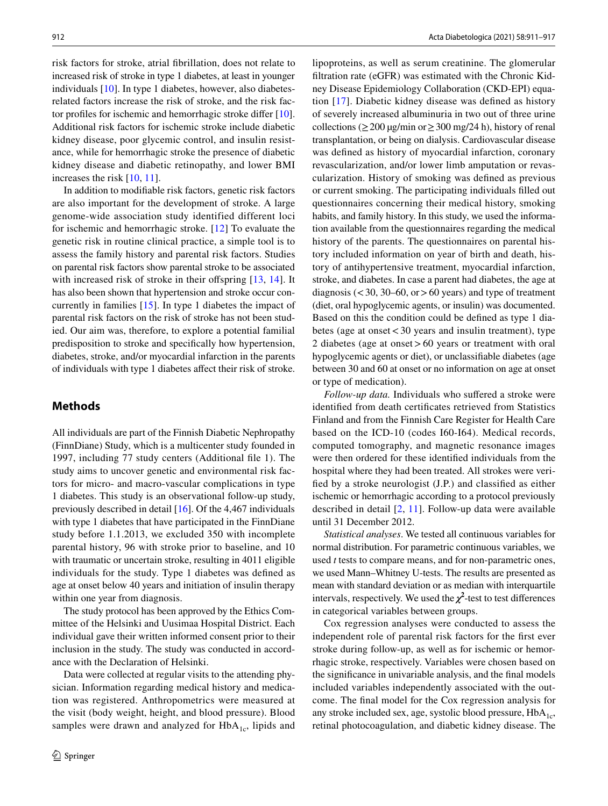risk factors for stroke, atrial fbrillation, does not relate to increased risk of stroke in type 1 diabetes, at least in younger individuals [10]. In type 1 diabetes, however, also diabetesrelated factors increase the risk of stroke, and the risk factor profles for ischemic and hemorrhagic stroke difer [10]. Additional risk factors for ischemic stroke include diabetic kidney disease, poor glycemic control, and insulin resistance, while for hemorrhagic stroke the presence of diabetic kidney disease and diabetic retinopathy, and lower BMI increases the risk [10, 11].

In addition to modifable risk factors, genetic risk factors are also important for the development of stroke. A large genome-wide association study identified different loci for ischemic and hemorrhagic stroke. [12] To evaluate the genetic risk in routine clinical practice, a simple tool is to assess the family history and parental risk factors. Studies on parental risk factors show parental stroke to be associated with increased risk of stroke in their offspring  $[13, 14]$ . It has also been shown that hypertension and stroke occur concurrently in families [15]. In type 1 diabetes the impact of parental risk factors on the risk of stroke has not been studied. Our aim was, therefore, to explore a potential familial predisposition to stroke and specifcally how hypertension, diabetes, stroke, and/or myocardial infarction in the parents of individuals with type 1 diabetes afect their risk of stroke.

## **Methods**

All individuals are part of the Finnish Diabetic Nephropathy (FinnDiane) Study, which is a multicenter study founded in 1997, including 77 study centers (Additional fle 1). The study aims to uncover genetic and environmental risk factors for micro- and macro-vascular complications in type 1 diabetes. This study is an observational follow-up study, previously described in detail [16]. Of the 4,467 individuals with type 1 diabetes that have participated in the FinnDiane study before 1.1.2013, we excluded 350 with incomplete parental history, 96 with stroke prior to baseline, and 10 with traumatic or uncertain stroke, resulting in 4011 eligible individuals for the study. Type 1 diabetes was defned as age at onset below 40 years and initiation of insulin therapy within one year from diagnosis.

The study protocol has been approved by the Ethics Committee of the Helsinki and Uusimaa Hospital District. Each individual gave their written informed consent prior to their inclusion in the study. The study was conducted in accordance with the Declaration of Helsinki.

Data were collected at regular visits to the attending physician. Information regarding medical history and medication was registered. Anthropometrics were measured at the visit (body weight, height, and blood pressure). Blood samples were drawn and analyzed for  $HbA_{1c}$ , lipids and lipoproteins, as well as serum creatinine. The glomerular fltration rate (eGFR) was estimated with the Chronic Kidney Disease Epidemiology Collaboration (CKD-EPI) equation [17]. Diabetic kidney disease was defned as history of severely increased albuminuria in two out of three urine collections ( $\geq$  200 µg/min or  $\geq$  300 mg/24 h), history of renal transplantation, or being on dialysis. Cardiovascular disease was defned as history of myocardial infarction, coronary revascularization, and/or lower limb amputation or revascularization. History of smoking was defned as previous or current smoking. The participating individuals flled out questionnaires concerning their medical history, smoking habits, and family history. In this study, we used the information available from the questionnaires regarding the medical history of the parents. The questionnaires on parental history included information on year of birth and death, history of antihypertensive treatment, myocardial infarction, stroke, and diabetes. In case a parent had diabetes, the age at diagnosis ( $\lt$  30, 30–60, or  $> 60$  years) and type of treatment (diet, oral hypoglycemic agents, or insulin) was documented. Based on this the condition could be defned as type 1 diabetes (age at onset<30 years and insulin treatment), type 2 diabetes (age at onset>60 years or treatment with oral hypoglycemic agents or diet), or unclassifable diabetes (age between 30 and 60 at onset or no information on age at onset or type of medication).

*Follow-up data.* Individuals who sufered a stroke were identifed from death certifcates retrieved from Statistics Finland and from the Finnish Care Register for Health Care based on the ICD-10 (codes I60-I64). Medical records, computed tomography, and magnetic resonance images were then ordered for these identifed individuals from the hospital where they had been treated. All strokes were verifed by a stroke neurologist (J.P.) and classifed as either ischemic or hemorrhagic according to a protocol previously described in detail [2, 11]. Follow-up data were available until 31 December 2012.

*Statistical analyses*. We tested all continuous variables for normal distribution. For parametric continuous variables, we used *t* tests to compare means, and for non-parametric ones, we used Mann–Whitney U-tests. The results are presented as mean with standard deviation or as median with interquartile intervals, respectively. We used the  $\chi^2$ -test to test differences in categorical variables between groups.

Cox regression analyses were conducted to assess the independent role of parental risk factors for the frst ever stroke during follow-up, as well as for ischemic or hemorrhagic stroke, respectively. Variables were chosen based on the signifcance in univariable analysis, and the fnal models included variables independently associated with the outcome. The fnal model for the Cox regression analysis for any stroke included sex, age, systolic blood pressure,  $HbA_{1c}$ , retinal photocoagulation, and diabetic kidney disease. The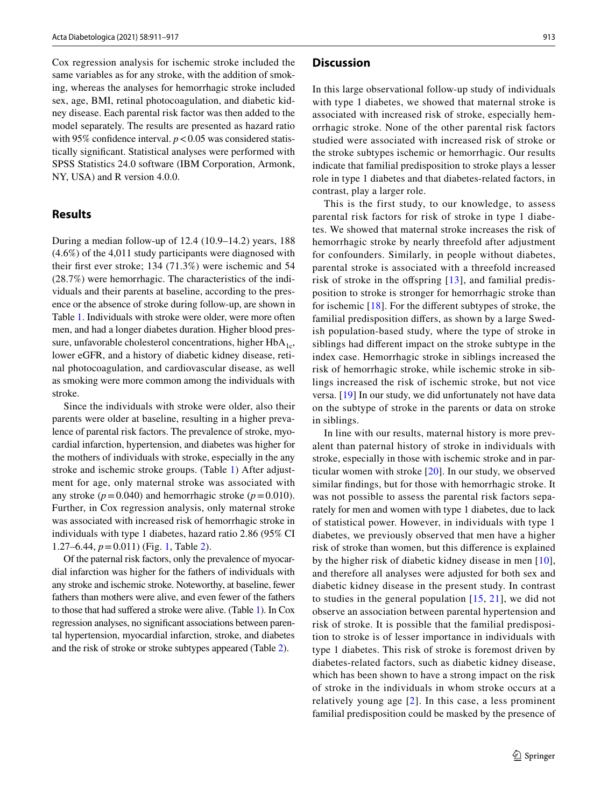Cox regression analysis for ischemic stroke included the same variables as for any stroke, with the addition of smoking, whereas the analyses for hemorrhagic stroke included sex, age, BMI, retinal photocoagulation, and diabetic kidney disease. Each parental risk factor was then added to the model separately. The results are presented as hazard ratio with 95% confidence interval.  $p < 0.05$  was considered statistically signifcant. Statistical analyses were performed with SPSS Statistics 24.0 software (IBM Corporation, Armonk, NY, USA) and R version 4.0.0.

#### **Results**

During a median follow-up of 12.4 (10.9–14.2) years, 188 (4.6%) of the 4,011 study participants were diagnosed with their frst ever stroke; 134 (71.3%) were ischemic and 54 (28.7%) were hemorrhagic. The characteristics of the individuals and their parents at baseline, according to the presence or the absence of stroke during follow-up, are shown in Table 1. Individuals with stroke were older, were more often men, and had a longer diabetes duration. Higher blood pressure, unfavorable cholesterol concentrations, higher  $HbA_{1c}$ , lower eGFR, and a history of diabetic kidney disease, retinal photocoagulation, and cardiovascular disease, as well as smoking were more common among the individuals with stroke.

Since the individuals with stroke were older, also their parents were older at baseline, resulting in a higher prevalence of parental risk factors. The prevalence of stroke, myocardial infarction, hypertension, and diabetes was higher for the mothers of individuals with stroke, especially in the any stroke and ischemic stroke groups. (Table 1) After adjustment for age, only maternal stroke was associated with any stroke ( $p = 0.040$ ) and hemorrhagic stroke ( $p = 0.010$ ). Further, in Cox regression analysis, only maternal stroke was associated with increased risk of hemorrhagic stroke in individuals with type 1 diabetes, hazard ratio 2.86 (95% CI 1.27–6.44, *p*=0.011) (Fig. 1, Table 2).

Of the paternal risk factors, only the prevalence of myocardial infarction was higher for the fathers of individuals with any stroke and ischemic stroke. Noteworthy, at baseline, fewer fathers than mothers were alive, and even fewer of the fathers to those that had suffered a stroke were alive. (Table 1). In Cox regression analyses, no signifcant associations between parental hypertension, myocardial infarction, stroke, and diabetes and the risk of stroke or stroke subtypes appeared (Table 2).

#### **Discussion**

In this large observational follow-up study of individuals with type 1 diabetes, we showed that maternal stroke is associated with increased risk of stroke, especially hemorrhagic stroke. None of the other parental risk factors studied were associated with increased risk of stroke or the stroke subtypes ischemic or hemorrhagic. Our results indicate that familial predisposition to stroke plays a lesser role in type 1 diabetes and that diabetes-related factors, in contrast, play a larger role.

This is the first study, to our knowledge, to assess parental risk factors for risk of stroke in type 1 diabetes. We showed that maternal stroke increases the risk of hemorrhagic stroke by nearly threefold after adjustment for confounders. Similarly, in people without diabetes, parental stroke is associated with a threefold increased risk of stroke in the offspring  $[13]$ , and familial predisposition to stroke is stronger for hemorrhagic stroke than for ischemic [18]. For the diferent subtypes of stroke, the familial predisposition difers, as shown by a large Swedish population-based study, where the type of stroke in siblings had diferent impact on the stroke subtype in the index case. Hemorrhagic stroke in siblings increased the risk of hemorrhagic stroke, while ischemic stroke in siblings increased the risk of ischemic stroke, but not vice versa. [19] In our study, we did unfortunately not have data on the subtype of stroke in the parents or data on stroke in siblings.

In line with our results, maternal history is more prevalent than paternal history of stroke in individuals with stroke, especially in those with ischemic stroke and in particular women with stroke [20]. In our study, we observed similar fndings, but for those with hemorrhagic stroke. It was not possible to assess the parental risk factors separately for men and women with type 1 diabetes, due to lack of statistical power. However, in individuals with type 1 diabetes, we previously observed that men have a higher risk of stroke than women, but this diference is explained by the higher risk of diabetic kidney disease in men [10], and therefore all analyses were adjusted for both sex and diabetic kidney disease in the present study. In contrast to studies in the general population  $[15, 21]$ , we did not observe an association between parental hypertension and risk of stroke. It is possible that the familial predisposition to stroke is of lesser importance in individuals with type 1 diabetes. This risk of stroke is foremost driven by diabetes-related factors, such as diabetic kidney disease, which has been shown to have a strong impact on the risk of stroke in the individuals in whom stroke occurs at a relatively young age [2]. In this case, a less prominent familial predisposition could be masked by the presence of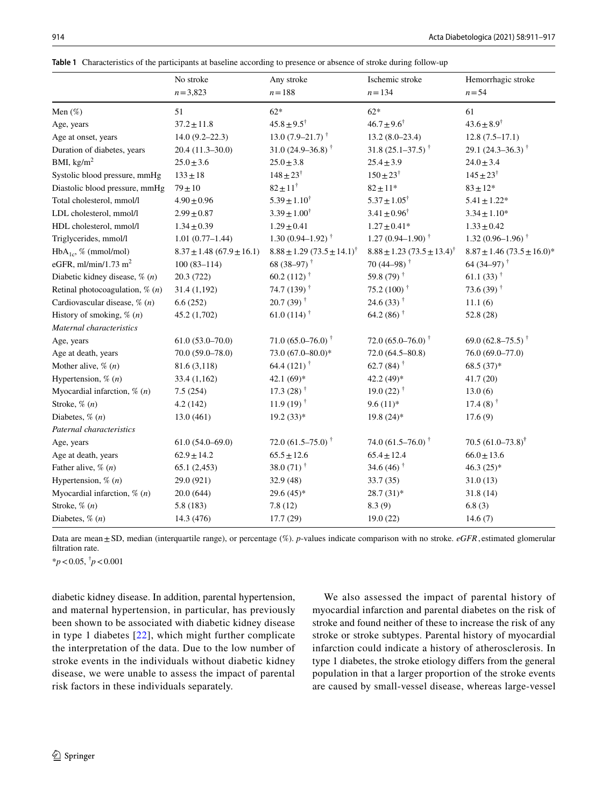|  |  |  | Table 1 Characteristics of the participants at baseline according to presence or absence of stroke during follow-up |  |  |
|--|--|--|---------------------------------------------------------------------------------------------------------------------|--|--|
|--|--|--|---------------------------------------------------------------------------------------------------------------------|--|--|

|                                    | No stroke                       | Any stroke                                 | Ischemic stroke<br>$n = 134$               | Hemorrhagic stroke<br>$n = 54$           |
|------------------------------------|---------------------------------|--------------------------------------------|--------------------------------------------|------------------------------------------|
|                                    | $n = 3,823$                     | $n = 188$                                  |                                            |                                          |
| Men $(\%)$                         | 51                              | $62*$                                      | $62*$                                      | 61                                       |
| Age, years                         | $37.2 \pm 11.8$                 | $45.8 \pm 9.5^{\dagger}$                   | $46.7 \pm 9.6^{\dagger}$                   | $43.6 \pm 8.9^{\dagger}$                 |
| Age at onset, years                | $14.0(9.2 - 22.3)$              | 13.0 $(7.9-21.7)$ <sup>†</sup>             | $13.2(8.0-23.4)$                           | $12.8(7.5-17.1)$                         |
| Duration of diabetes, years        | $20.4(11.3-30.0)$               | 31.0 $(24.9 - 36.8)^{\dagger}$             | 31.8 $(25.1 - 37.5)^{\dagger}$             | 29.1 $(24.3 - 36.3)^{\dagger}$           |
| BMI, $\text{kg/m}^2$               | $25.0 \pm 3.6$                  | $25.0 \pm 3.8$                             | $25.4 \pm 3.9$                             | $24.0 \pm 3.4$                           |
| Systolic blood pressure, mmHg      | $133 \pm 18$                    | $148 \pm 23^{\dagger}$                     | $150 \pm 23^{\dagger}$                     | $145 \pm 23^{\dagger}$                   |
| Diastolic blood pressure, mmHg     | $79\pm10$                       | $82 \pm 11^{\dagger}$                      | $82 \pm 11*$                               | $83 \pm 12*$                             |
| Total cholesterol, mmol/l          | $4.90 \pm 0.96$                 | $5.39 \pm 1.10^{\dagger}$                  | $5.37 \pm 1.05^{\dagger}$                  | $5.41 \pm 1.22*$                         |
| LDL cholesterol, mmol/l            | $2.99 \pm 0.87$                 | $3.39 \pm 1.00^{\dagger}$                  | $3.41 \pm 0.96^{\dagger}$                  | $3.34 \pm 1.10*$                         |
| HDL cholesterol, mmol/l            | $1.34 \pm 0.39$                 | $1.29 \pm 0.41$                            | $1.27 \pm 0.41*$                           | $1.33 \pm 0.42$                          |
| Triglycerides, mmol/l              | $1.01(0.77-1.44)$               | 1.30 $(0.94 - 1.92)$ <sup>†</sup>          | $1.27(0.94 - 1.90)^{+}$                    | 1.32 $(0.96-1.96)$ <sup>†</sup>          |
| $HbA_{1c}$ , % (mmol/mol)          | $8.37 \pm 1.48 (67.9 \pm 16.1)$ | $8.88 \pm 1.29 (73.5 \pm 14.1)^{\dagger}$  | $8.88 \pm 1.23 (73.5 \pm 13.4)^{\dagger}$  | $8.87 \pm 1.46 (73.5 \pm 16.0)^*$        |
| eGFR, ml/min/1.73 m <sup>2</sup>   | $100(83 - 114)$                 | 68 (38-97) <sup><math>\dagger</math></sup> | 70 (44–98) <sup><math>\dagger</math></sup> | 64 (34–97) <sup>†</sup>                  |
| Diabetic kidney disease, $\%$ (n)  | 20.3 (722)                      | 60.2 (112) $^{\dagger}$                    | 59.8 (79) $^{\dagger}$                     | 61.1 $(33)$ <sup>†</sup>                 |
| Retinal photocoagulation, $\%$ (n) | 31.4(1,192)                     | 74.7 (139) <sup>†</sup>                    | 75.2 (100) $^{\dagger}$                    | 73.6 (39) $^{\dagger}$                   |
| Cardiovascular disease, $\%$ (n)   | 6.6(252)                        | $20.7(39)$ <sup>†</sup>                    | 24.6 $(33)$ <sup>†</sup>                   | 11.1(6)                                  |
| History of smoking, $\%$ (n)       | 45.2 (1,702)                    | 61.0 (114) <sup><math>\dagger</math></sup> | 64.2 (86) <sup><math>\dagger</math></sup>  | 52.8 (28)                                |
| Maternal characteristics           |                                 |                                            |                                            |                                          |
| Age, years                         | $61.0(53.0 - 70.0)$             | 71.0 $(65.0 - 76.0)^{+}$                   | 72.0 $(65.0 - 76.0)^{\dagger}$             | 69.0 (62.8–75.5) <sup>†</sup>            |
| Age at death, years                | 70.0 (59.0-78.0)                | 73.0 (67.0-80.0)*                          | $72.0(64.5 - 80.8)$                        | 76.0 (69.0-77.0)                         |
| Mother alive, $\%$ $(n)$           | 81.6 (3,118)                    | 64.4 (121) $^{\dagger}$                    | 62.7 (84) <sup><math>\dagger</math></sup>  | $68.5(37)*$                              |
| Hypertension, $\%$ $(n)$           | 33.4(1,162)                     | 42.1 $(69)*$                               | 42.2 $(49)*$                               | 41.7(20)                                 |
| Myocardial infarction, $\%$ (n)    | 7.5(254)                        | 17.3 $(28)$ <sup>†</sup>                   | 19.0 $(22)$ <sup>†</sup>                   | 13.0(6)                                  |
| Stroke, $\%$ $(n)$                 | 4.2(142)                        | $11.9(19)$ <sup>†</sup>                    | $9.6(11)*$                                 | 17.4 (8) <sup><math>\dagger</math></sup> |
| Diabetes, $\%$ $(n)$               | 13.0(461)                       | $19.2(33)*$                                | $19.8(24)$ *                               | 17.6(9)                                  |
| Paternal characteristics           |                                 |                                            |                                            |                                          |
| Age, years                         | $61.0(54.0-69.0)$               | 72.0 $(61.5 - 75.0)$ <sup>†</sup>          | 74.0 $(61.5 - 76.0)$ <sup>†</sup>          | 70.5 $(61.0 - 73.8)^{\dagger}$           |
| Age at death, years                | $62.9 \pm 14.2$                 | $65.5 \pm 12.6$                            | $65.4 \pm 12.4$                            | $66.0 \pm 13.6$                          |
| Father alive, $\%$ $(n)$           | 65.1(2,453)                     | 38.0 $(71)$ <sup>†</sup>                   | 34.6 (46) <sup><math>\dagger</math></sup>  | $46.3(25)*$                              |
| Hypertension, $\%$ (n)             | 29.0 (921)                      | 32.9 (48)                                  | 33.7 (35)                                  | 31.0(13)                                 |
| Myocardial infarction, $\%$ (n)    | 20.0(644)                       | $29.6(45)*$                                | $28.7(31)*$                                | 31.8(14)                                 |
| Stroke, $\%$ $(n)$                 | 5.8(183)                        | 7.8(12)                                    | 8.3(9)                                     | 6.8(3)                                   |
| Diabetes, $\%$ $(n)$               | 14.3 (476)                      | 17.7(29)                                   | 19.0(22)                                   | 14.6(7)                                  |

Data are mean ± SD, median (interquartile range), or percentage (%). *p*-values indicate comparison with no stroke. *eGFR*, estimated glomerular filtration rate.

\**p*<0.05, † *p*<0.001

diabetic kidney disease. In addition, parental hypertension, and maternal hypertension, in particular, has previously been shown to be associated with diabetic kidney disease in type 1 diabetes [22], which might further complicate the interpretation of the data. Due to the low number of stroke events in the individuals without diabetic kidney disease, we were unable to assess the impact of parental risk factors in these individuals separately.

We also assessed the impact of parental history of myocardial infarction and parental diabetes on the risk of stroke and found neither of these to increase the risk of any stroke or stroke subtypes. Parental history of myocardial infarction could indicate a history of atherosclerosis. In type 1 diabetes, the stroke etiology difers from the general population in that a larger proportion of the stroke events are caused by small-vessel disease, whereas large-vessel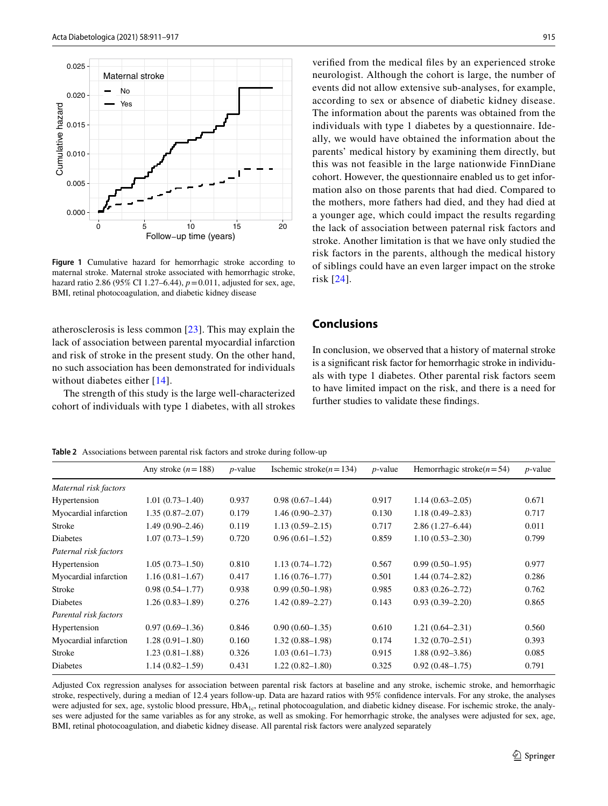

Figure 1 Cumulative hazard for hemorrhagic stroke according to maternal stroke. Maternal stroke associated with hemorrhagic stroke, hazard ratio 2.86 (95% CI 1.27–6.44), *p*=0.011, adjusted for sex, age, BMI, retinal photocoagulation, and diabetic kidney disease

atherosclerosis is less common [23]. This may explain the lack of association between parental myocardial infarction and risk of stroke in the present study. On the other hand, no such association has been demonstrated for individuals without diabetes either [14].

The strength of this study is the large well-characterized cohort of individuals with type 1 diabetes, with all strokes verifed from the medical fles by an experienced stroke neurologist. Although the cohort is large, the number of events did not allow extensive sub-analyses, for example, according to sex or absence of diabetic kidney disease. The information about the parents was obtained from the individuals with type 1 diabetes by a questionnaire. Ideally, we would have obtained the information about the parents' medical history by examining them directly, but this was not feasible in the large nationwide FinnDiane cohort. However, the questionnaire enabled us to get information also on those parents that had died. Compared to the mothers, more fathers had died, and they had died at a younger age, which could impact the results regarding the lack of association between paternal risk factors and stroke. Another limitation is that we have only studied the risk factors in the parents, although the medical history of siblings could have an even larger impact on the stroke risk [24].

## **Conclusions**

In conclusion, we observed that a history of maternal stroke is a signifcant risk factor for hemorrhagic stroke in individuals with type 1 diabetes. Other parental risk factors seem to have limited impact on the risk, and there is a need for further studies to validate these fndings.

**Table 2** Associations between parental risk factors and stroke during follow-up

Any stroke (*n*=188) *p*-value Ischemic stroke(*n*=134) *p*-value Hemorrhagic stroke(*n*=54) *p*-value *Maternal risk factors* Hypertension 1.01 (0.73–1.40) 0.937 0.98 (0.67–1.44) 0.917 1.14 (0.63–2.05) 0.671 Myocardial infarction 1.35 (0.87–2.07) 0.179 1.46 (0.90–2.37) 0.130 1.18 (0.49–2.83) 0.717 Stroke 1.49 (0.90–2.46) 0.119 1.13 (0.59–2.15) 0.717 2.86 (1.27–6.44) 0.011 Diabetes 1.07 (0.73–1.59) 0.720 0.96 (0.61–1.52) 0.859 1.10 (0.53–2.30) 0.799 *Paternal risk factors* Hypertension 1.05 (0.73–1.50) 0.810 1.13 (0.74–1.72) 0.567 0.99 (0.50–1.95) 0.977 Myocardial infarction 1.16 (0.81–1.67) 0.417 1.16 (0.76–1.77) 0.501 1.44 (0.74–2.82) 0.286 Stroke 0.98 (0.54–1.77) 0.938 0.99 (0.50–1.98) 0.985 0.83 (0.26–2.72) 0.762 Diabetes 1.26 (0.83–1.89) 0.276 1.42 (0.89–2.27) 0.143 0.93 (0.39–2.20) 0.865 *Parental risk factors* Hypertension 0.97 (0.69–1.36) 0.846 0.90 (0.60–1.35) 0.610 1.21 (0.64–2.31) 0.560 Myocardial infarction 1.28 (0.91–1.80) 0.160 1.32 (0.88–1.98) 0.174 1.32 (0.70–2.51) 0.393 Stroke 1.23 (0.81–1.88) 0.326 1.03 (0.61–1.73) 0.915 1.88 (0.92–3.86) 0.085 Diabetes 1.14 (0.82–1.59) 0.431 1.22 (0.82–1.80) 0.325 0.92 (0.48–1.75) 0.791

Adjusted Cox regression analyses for association between parental risk factors at baseline and any stroke, ischemic stroke, and hemorrhagic stroke, respectively, during a median of 12.4 years follow-up. Data are hazard ratios with 95% confdence intervals. For any stroke, the analyses were adjusted for sex, age, systolic blood pressure, HbA<sub>1c</sub>, retinal photocoagulation, and diabetic kidney disease. For ischemic stroke, the analyses were adjusted for the same variables as for any stroke, as well as smoking. For hemorrhagic stroke, the analyses were adjusted for sex, age, BMI, retinal photocoagulation, and diabetic kidney disease. All parental risk factors were analyzed separately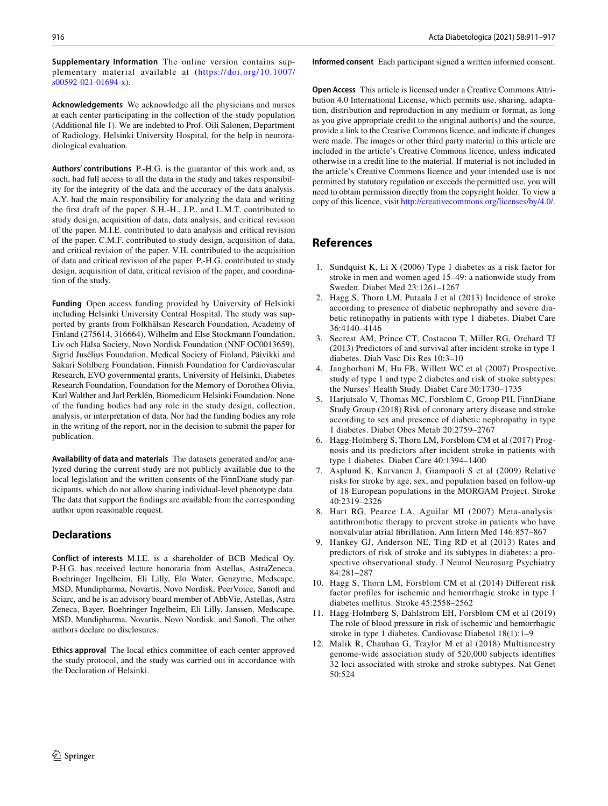**Supplementary Information** The online version contains supplementary material available at ([https://](https://doi.org/10.1007/s00592-021-01694-x) doi. org/ 10. 1007/ [s00592-021-01694-x](https://doi.org/10.1007/s00592-021-01694-x)).

**Acknowledgements** We acknowledge all the physicians and nurses at each center participating in the collection of the study population (Additional fle 1). We are indebted to Prof. Oili Salonen, Department of Radiology, Helsinki University Hospital, for the help in neuroradiological evaluation.

**Authors' contributions** P.-H.G. is the guarantor of this work and, as such, had full access to all the data in the study and takes responsibility for the integrity of the data and the accuracy of the data analysis. A.Y. had the main responsibility for analyzing the data and writing the frst draft of the paper. S.H.-H., J.P., and L.M.T. contributed to study design, acquisition of data, data analysis, and critical revision of the paper. M.I.E. contributed to data analysis and critical revision of the paper. C.M.F. contributed to study design, acquisition of data, and critical revision of the paper. V.H. contributed to the acquisition of data and critical revision of the paper. P.-H.G. contributed to study design, acquisition of data, critical revision of the paper, and coordination of the study.

**Funding** Open access funding provided by University of Helsinki including Helsinki University Central Hospital. The study was supported by grants from Folkhälsan Research Foundation, Academy of Finland (275614, 316664), Wilhelm and Else Stockmann Foundation, Liv och Hälsa Society, Novo Nordisk Foundation (NNF OC0013659), Sigrid Jusélius Foundation, Medical Society of Finland, Päivikki and Sakari Sohlberg Foundation, Finnish Foundation for Cardiovascular Research, EVO governmental grants, University of Helsinki, Diabetes Research Foundation, Foundation for the Memory of Dorothea Olivia, Karl Walther and Jarl Perklén, Biomedicum Helsinki Foundation. None of the funding bodies had any role in the study design, collection, analysis, or interpretation of data. Nor had the funding bodies any role in the writing of the report, nor in the decision to submit the paper for publication.

**Availability of data and materials** The datasets generated and/or analyzed during the current study are not publicly available due to the local legislation and the written consents of the FinnDiane study participants, which do not allow sharing individual-level phenotype data. The data that support the fndings are available from the corresponding author upon reasonable request.

#### **Declarations**

**Conflict of interests** M.I.E. is a shareholder of BCB Medical Oy. P-H.G. has received lecture honoraria from Astellas, AstraZeneca, Boehringer Ingelheim, Eli Lilly, Elo Water, Genzyme, Medscape, MSD, Mundipharma, Novartis, Novo Nordisk, PeerVoice, Sanof and Sciarc, and he is an advisory board member of AbbVie, Astellas, Astra Zeneca, Bayer, Boehringer Ingelheim, Eli Lilly, Janssen, Medscape, MSD, Mundipharma, Novartis, Novo Nordisk, and Sanof. The other authors declare no disclosures.

**Ethics approval** The local ethics committee of each center approved the study protocol, and the study was carried out in accordance with the Declaration of Helsinki.

**Informed consent** Each participant signed a written informed consent.

**Open Access** This article is licensed under a Creative Commons Attribution 4.0 International License, which permits use, sharing, adaptation, distribution and reproduction in any medium or format, as long as you give appropriate credit to the original author(s) and the source, provide a link to the Creative Commons licence, and indicate if changes were made. The images or other third party material in this article are included in the article's Creative Commons licence, unless indicated otherwise in a credit line to the material. If material is not included in the article's Creative Commons licence and your intended use is not permitted by statutory regulation or exceeds the permitted use, you will need to obtain permission directly from the copyright holder. To view a copy of this licence, visit<http://creativecommons.org/licenses/by/4.0/>.

## **References**

- 1. Sundquist K, Li X (2006) Type 1 diabetes as a risk factor for stroke in men and women aged 15–49: a nationwide study from Sweden. Diabet Med 23:1261–1267
- 2. Hagg S, Thorn LM, Putaala J et al (2013) Incidence of stroke according to presence of diabetic nephropathy and severe diabetic retinopathy in patients with type 1 diabetes. Diabet Care 36:4140–4146
- 3. Secrest AM, Prince CT, Costacou T, Miller RG, Orchard TJ (2013) Predictors of and survival after incident stroke in type 1 diabetes. Diab Vasc Dis Res 10:3–10
- 4. Janghorbani M, Hu FB, Willett WC et al (2007) Prospective study of type 1 and type 2 diabetes and risk of stroke subtypes: the Nurses' Health Study. Diabet Care 30:1730–1735
- 5. Harjutsalo V, Thomas MC, Forsblom C, Groop PH, FinnDiane Study Group (2018) Risk of coronary artery disease and stroke according to sex and presence of diabetic nephropathy in type 1 diabetes. Diabet Obes Metab 20:2759–2767
- 6. Hagg-Holmberg S, Thorn LM, Forsblom CM et al (2017) Prognosis and its predictors after incident stroke in patients with type 1 diabetes. Diabet Care 40:1394–1400
- 7. Asplund K, Karvanen J, Giampaoli S et al (2009) Relative risks for stroke by age, sex, and population based on follow-up of 18 European populations in the MORGAM Project. Stroke 40:2319–2326
- 8. Hart RG, Pearce LA, Aguilar MI (2007) Meta-analysis: antithrombotic therapy to prevent stroke in patients who have nonvalvular atrial fbrillation. Ann Intern Med 146:857–867
- 9. Hankey GJ, Anderson NE, Ting RD et al (2013) Rates and predictors of risk of stroke and its subtypes in diabetes: a prospective observational study. J Neurol Neurosurg Psychiatry 84:281–287
- 10. Hagg S, Thorn LM, Forsblom CM et al (2014) Diferent risk factor profles for ischemic and hemorrhagic stroke in type 1 diabetes mellitus. Stroke 45:2558–2562
- 11. Hagg-Holmberg S, Dahlstrom EH, Forsblom CM et al (2019) The role of blood pressure in risk of ischemic and hemorrhagic stroke in type 1 diabetes. Cardiovasc Diabetol 18(1):1–9
- 12. Malik R, Chauhan G, Traylor M et al (2018) Multiancestry genome-wide association study of 520,000 subjects identifes 32 loci associated with stroke and stroke subtypes. Nat Genet 50:524